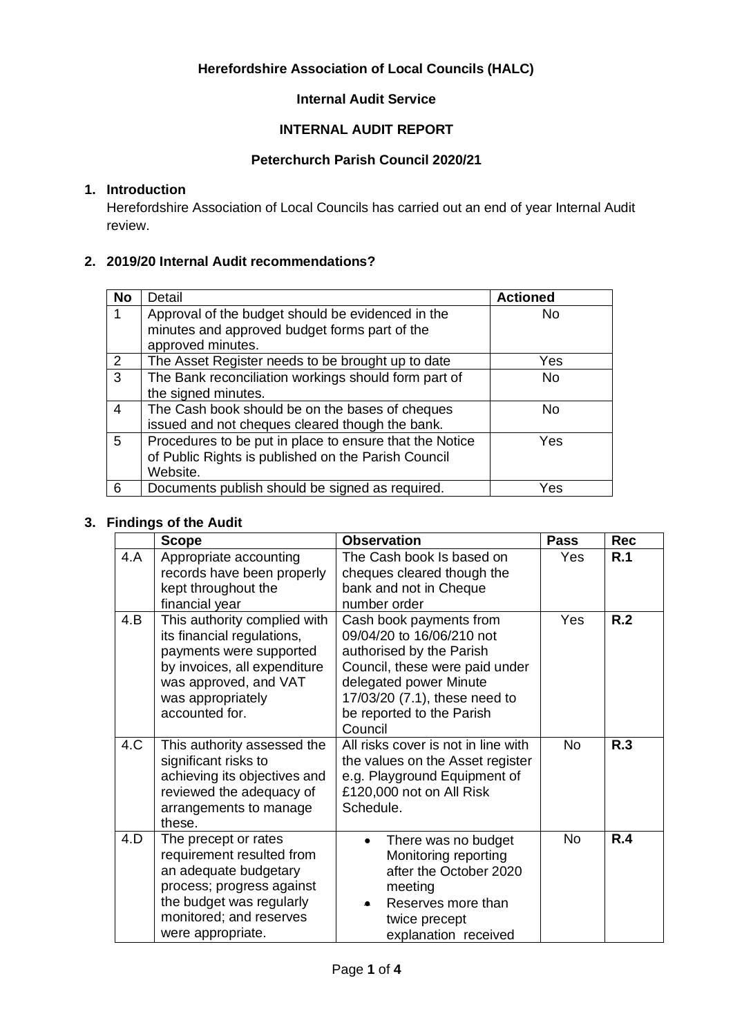# **Herefordshire Association of Local Councils (HALC)**

# **Internal Audit Service**

# **INTERNAL AUDIT REPORT**

# **Peterchurch Parish Council 2020/21**

# **1. Introduction**

Herefordshire Association of Local Councils has carried out an end of year Internal Audit review.

#### **2. 2019/20 Internal Audit recommendations?**

| <b>No</b>       | Detail                                                                                             | <b>Actioned</b> |
|-----------------|----------------------------------------------------------------------------------------------------|-----------------|
|                 | Approval of the budget should be evidenced in the<br>minutes and approved budget forms part of the | No.             |
|                 | approved minutes.                                                                                  |                 |
| 2               | The Asset Register needs to be brought up to date                                                  | Yes             |
| $\overline{3}$  | The Bank reconciliation workings should form part of                                               | <b>No</b>       |
|                 | the signed minutes.                                                                                |                 |
| $\overline{4}$  | The Cash book should be on the bases of cheques                                                    | No.             |
|                 | issued and not cheques cleared though the bank.                                                    |                 |
| $5\overline{)}$ | Procedures to be put in place to ensure that the Notice                                            | Yes             |
|                 | of Public Rights is published on the Parish Council                                                |                 |
|                 | Website.                                                                                           |                 |
| 6               | Documents publish should be signed as required.                                                    | Yes             |

#### **3. Findings of the Audit**

|     | <b>Scope</b>                                                                                                                                                                          | <b>Observation</b>                                                                                                                                                                                                    | <b>Pass</b> | <b>Rec</b> |
|-----|---------------------------------------------------------------------------------------------------------------------------------------------------------------------------------------|-----------------------------------------------------------------------------------------------------------------------------------------------------------------------------------------------------------------------|-------------|------------|
| 4.A | Appropriate accounting<br>records have been properly<br>kept throughout the<br>financial year                                                                                         | The Cash book Is based on<br>cheques cleared though the<br>bank and not in Cheque<br>number order                                                                                                                     | Yes         | R.1        |
| 4.B | This authority complied with<br>its financial regulations,<br>payments were supported<br>by invoices, all expenditure<br>was approved, and VAT<br>was appropriately<br>accounted for. | Cash book payments from<br>09/04/20 to 16/06/210 not<br>authorised by the Parish<br>Council, these were paid under<br>delegated power Minute<br>17/03/20 (7.1), these need to<br>be reported to the Parish<br>Council | Yes         | R.2        |
| 4.C | This authority assessed the<br>significant risks to<br>achieving its objectives and<br>reviewed the adequacy of<br>arrangements to manage<br>these.                                   | All risks cover is not in line with<br>the values on the Asset register<br>e.g. Playground Equipment of<br>£120,000 not on All Risk<br>Schedule.                                                                      | <b>No</b>   | R.3        |
| 4.D | The precept or rates<br>requirement resulted from<br>an adequate budgetary<br>process; progress against<br>the budget was regularly<br>monitored; and reserves<br>were appropriate.   | There was no budget<br>$\bullet$<br>Monitoring reporting<br>after the October 2020<br>meeting<br>Reserves more than<br>twice precept<br>explanation received                                                          | <b>No</b>   | R.4        |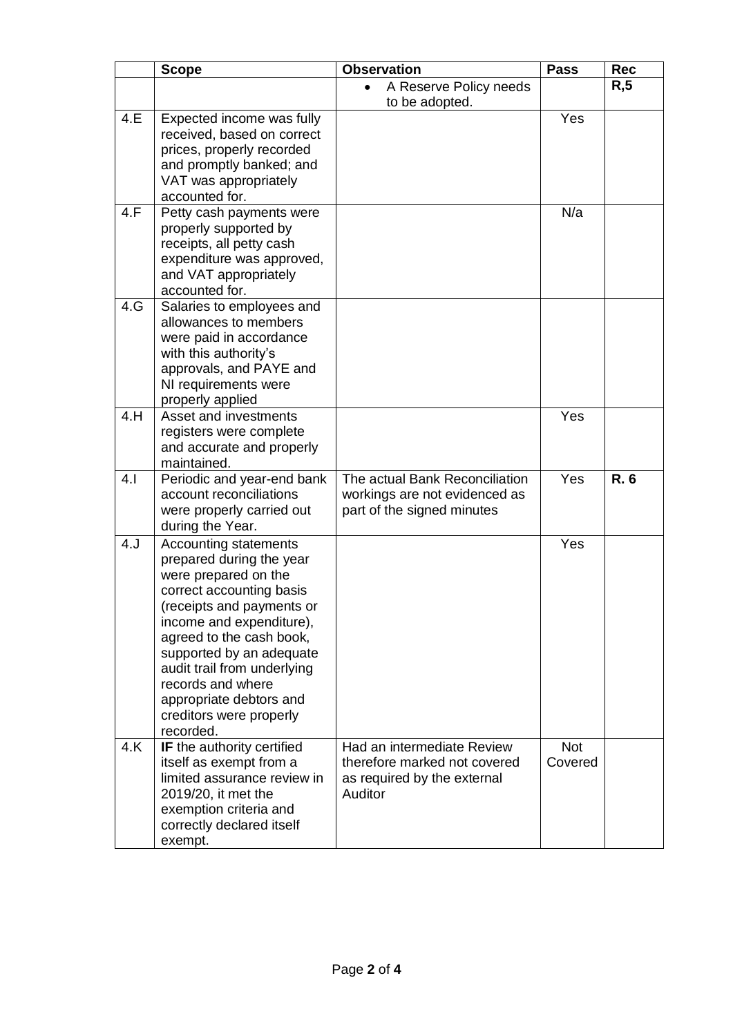|     | <b>Scope</b>                                                                                                                                                                                                                                                                                                                                  | <b>Observation</b>                                                                                   | <b>Pass</b>           | <b>Rec</b> |
|-----|-----------------------------------------------------------------------------------------------------------------------------------------------------------------------------------------------------------------------------------------------------------------------------------------------------------------------------------------------|------------------------------------------------------------------------------------------------------|-----------------------|------------|
|     |                                                                                                                                                                                                                                                                                                                                               | A Reserve Policy needs<br>$\bullet$<br>to be adopted.                                                |                       | R, 5       |
| 4.E | Expected income was fully<br>received, based on correct<br>prices, properly recorded<br>and promptly banked; and<br>VAT was appropriately<br>accounted for.                                                                                                                                                                                   |                                                                                                      | Yes                   |            |
| 4.F | Petty cash payments were<br>properly supported by<br>receipts, all petty cash<br>expenditure was approved,<br>and VAT appropriately<br>accounted for.                                                                                                                                                                                         |                                                                                                      | N/a                   |            |
| 4.G | Salaries to employees and<br>allowances to members<br>were paid in accordance<br>with this authority's<br>approvals, and PAYE and<br>NI requirements were<br>properly applied                                                                                                                                                                 |                                                                                                      |                       |            |
| 4.H | Asset and investments<br>registers were complete<br>and accurate and properly<br>maintained.                                                                                                                                                                                                                                                  |                                                                                                      | Yes                   |            |
| 4.1 | Periodic and year-end bank<br>account reconciliations<br>were properly carried out<br>during the Year.                                                                                                                                                                                                                                        | The actual Bank Reconciliation<br>workings are not evidenced as<br>part of the signed minutes        | Yes                   | R. 6       |
| 4.J | Accounting statements<br>prepared during the year<br>were prepared on the<br>correct accounting basis<br>(receipts and payments or<br>income and expenditure),<br>agreed to the cash book,<br>supported by an adequate<br>audit trail from underlying<br>records and where<br>appropriate debtors and<br>creditors were properly<br>recorded. |                                                                                                      | Yes                   |            |
| 4.K | IF the authority certified<br>itself as exempt from a<br>limited assurance review in<br>2019/20, it met the<br>exemption criteria and<br>correctly declared itself<br>exempt.                                                                                                                                                                 | Had an intermediate Review<br>therefore marked not covered<br>as required by the external<br>Auditor | <b>Not</b><br>Covered |            |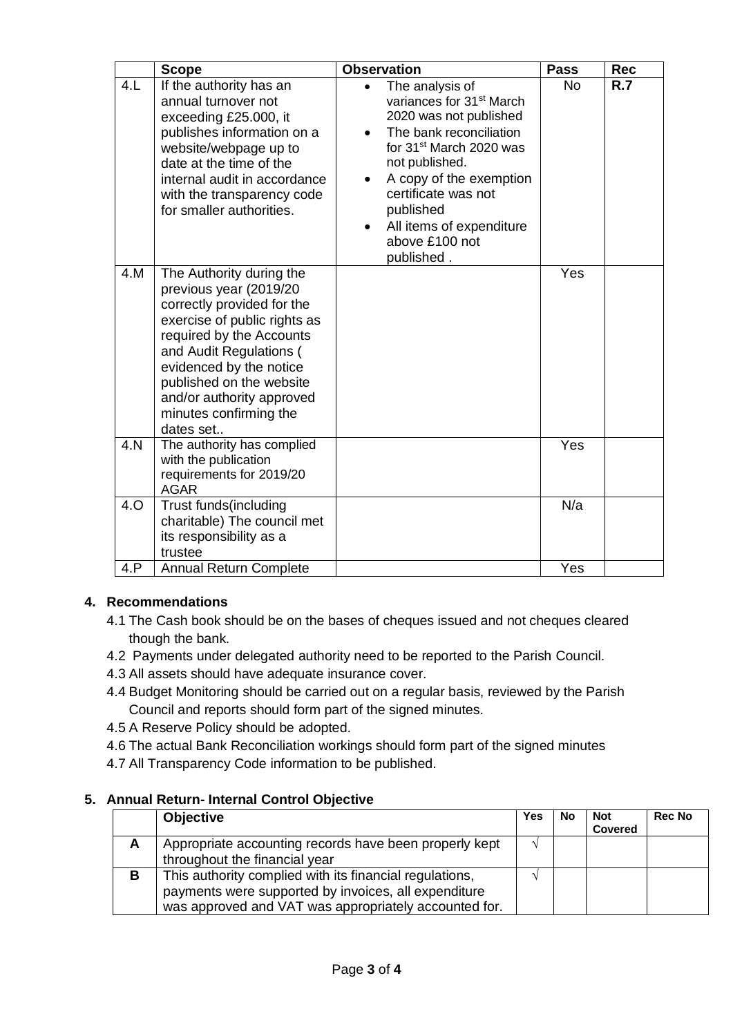|      | <b>Scope</b>                                                                                                                                                                                                                                                                                       | <b>Observation</b>                                                                                                                                                                                                                                                                                                         | <b>Pass</b> | Rec |
|------|----------------------------------------------------------------------------------------------------------------------------------------------------------------------------------------------------------------------------------------------------------------------------------------------------|----------------------------------------------------------------------------------------------------------------------------------------------------------------------------------------------------------------------------------------------------------------------------------------------------------------------------|-------------|-----|
| 4.L  | If the authority has an<br>annual turnover not<br>exceeding £25.000, it<br>publishes information on a<br>website/webpage up to<br>date at the time of the<br>internal audit in accordance<br>with the transparency code<br>for smaller authorities.                                                | The analysis of<br>$\bullet$<br>variances for 31 <sup>st</sup> March<br>2020 was not published<br>The bank reconciliation<br>for 31 <sup>st</sup> March 2020 was<br>not published.<br>A copy of the exemption<br>$\bullet$<br>certificate was not<br>published<br>All items of expenditure<br>above £100 not<br>published. | <b>No</b>   | R.7 |
| 4.M  | The Authority during the<br>previous year (2019/20<br>correctly provided for the<br>exercise of public rights as<br>required by the Accounts<br>and Audit Regulations (<br>evidenced by the notice<br>published on the website<br>and/or authority approved<br>minutes confirming the<br>dates set |                                                                                                                                                                                                                                                                                                                            | Yes         |     |
| 4. N | The authority has complied<br>with the publication<br>requirements for 2019/20<br><b>AGAR</b>                                                                                                                                                                                                      |                                                                                                                                                                                                                                                                                                                            | Yes         |     |
| 4.O  | Trust funds(including<br>charitable) The council met<br>its responsibility as a<br>trustee                                                                                                                                                                                                         |                                                                                                                                                                                                                                                                                                                            | N/a         |     |
| 4.P  | Annual Return Complete                                                                                                                                                                                                                                                                             |                                                                                                                                                                                                                                                                                                                            | Yes         |     |

# **4. Recommendations**

- 4.1 The Cash book should be on the bases of cheques issued and not cheques cleared though the bank.
- 4.2 Payments under delegated authority need to be reported to the Parish Council.
- 4.3 All assets should have adequate insurance cover.
- 4.4 Budget Monitoring should be carried out on a regular basis, reviewed by the Parish Council and reports should form part of the signed minutes.
- 4.5 A Reserve Policy should be adopted.
- 4.6 The actual Bank Reconciliation workings should form part of the signed minutes
- 4.7 All Transparency Code information to be published.

# **5. Annual Return- Internal Control Objective**

|   | <b>Objective</b>                                        | Yes           | No | <b>Not</b><br><b>Covered</b> | <b>Rec No</b> |
|---|---------------------------------------------------------|---------------|----|------------------------------|---------------|
| A | Appropriate accounting records have been properly kept  | $\mathcal{N}$ |    |                              |               |
|   | throughout the financial year                           |               |    |                              |               |
| В | This authority complied with its financial regulations, |               |    |                              |               |
|   | payments were supported by invoices, all expenditure    |               |    |                              |               |
|   | was approved and VAT was appropriately accounted for.   |               |    |                              |               |